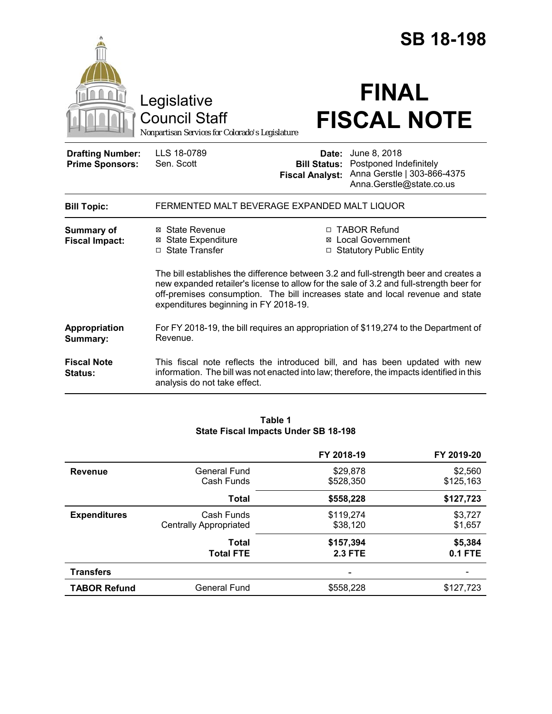|                                                   |                                                                                        |                                               | <b>SB 18-198</b>                                                                                                                                                                                                                                                  |
|---------------------------------------------------|----------------------------------------------------------------------------------------|-----------------------------------------------|-------------------------------------------------------------------------------------------------------------------------------------------------------------------------------------------------------------------------------------------------------------------|
|                                                   | Legislative<br><b>Council Staff</b><br>Nonpartisan Services for Colorado's Legislature |                                               | <b>FINAL</b><br><b>FISCAL NOTE</b>                                                                                                                                                                                                                                |
| <b>Drafting Number:</b><br><b>Prime Sponsors:</b> | LLS 18-0789<br>Sen. Scott                                                              | <b>Bill Status:</b><br><b>Fiscal Analyst:</b> | <b>Date:</b> June 8, 2018<br>Postponed Indefinitely<br>Anna Gerstle   303-866-4375<br>Anna.Gerstle@state.co.us                                                                                                                                                    |
| <b>Bill Topic:</b>                                | FERMENTED MALT BEVERAGE EXPANDED MALT LIQUOR                                           |                                               |                                                                                                                                                                                                                                                                   |
| Summary of<br><b>Fiscal Impact:</b>               | ⊠ State Revenue<br><b>⊠ State Expenditure</b><br>□ State Transfer                      |                                               | □ TABOR Refund<br>⊠ Local Government<br>□ Statutory Public Entity                                                                                                                                                                                                 |
|                                                   | expenditures beginning in FY 2018-19.                                                  |                                               | The bill establishes the difference between 3.2 and full-strength beer and creates a<br>new expanded retailer's license to allow for the sale of 3.2 and full-strength beer for<br>off-premises consumption. The bill increases state and local revenue and state |
| Appropriation<br>Summary:                         | Revenue.                                                                               |                                               | For FY 2018-19, the bill requires an appropriation of \$119,274 to the Department of                                                                                                                                                                              |
| <b>Fiscal Note</b><br>Status:                     | analysis do not take effect.                                                           |                                               | This fiscal note reflects the introduced bill, and has been updated with new<br>information. The bill was not enacted into law; therefore, the impacts identified in this                                                                                         |

### **Table 1 State Fiscal Impacts Under SB 18-198**

|                     |                                             | FY 2018-19                  | FY 2019-20           |
|---------------------|---------------------------------------------|-----------------------------|----------------------|
| <b>Revenue</b>      | General Fund<br>Cash Funds                  | \$29,878<br>\$528,350       | \$2,560<br>\$125,163 |
|                     | <b>Total</b>                                | \$558,228                   | \$127,723            |
| <b>Expenditures</b> | Cash Funds<br><b>Centrally Appropriated</b> | \$119,274<br>\$38,120       | \$3,727<br>\$1,657   |
|                     | Total<br><b>Total FTE</b>                   | \$157,394<br><b>2.3 FTE</b> | \$5,384<br>$0.1$ FTE |
| <b>Transfers</b>    |                                             |                             |                      |
| <b>TABOR Refund</b> | General Fund                                | \$558,228                   | \$127,723            |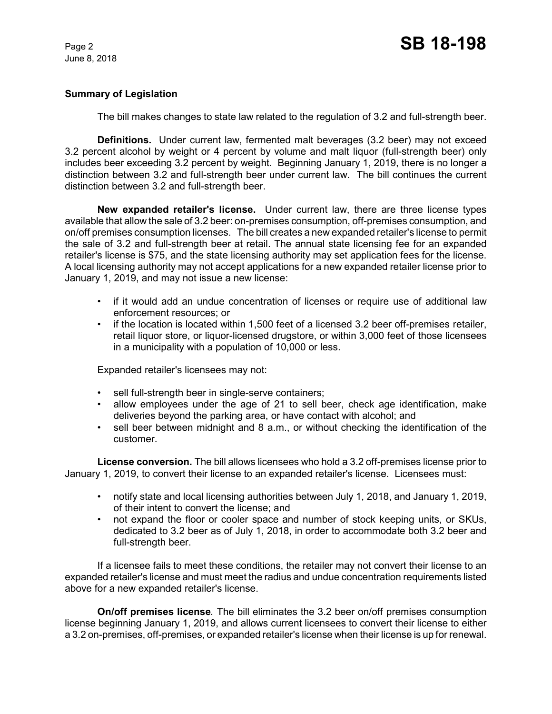# **Summary of Legislation**

The bill makes changes to state law related to the regulation of 3.2 and full-strength beer.

**Definitions.** Under current law, fermented malt beverages (3.2 beer) may not exceed 3.2 percent alcohol by weight or 4 percent by volume and malt liquor (full-strength beer) only includes beer exceeding 3.2 percent by weight. Beginning January 1, 2019, there is no longer a distinction between 3.2 and full-strength beer under current law. The bill continues the current distinction between 3.2 and full-strength beer.

**New expanded retailer's license.** Under current law, there are three license types available that allow the sale of 3.2 beer: on-premises consumption, off-premises consumption, and on/off premises consumption licenses. The bill creates a new expanded retailer's license to permit the sale of 3.2 and full-strength beer at retail. The annual state licensing fee for an expanded retailer's license is \$75, and the state licensing authority may set application fees for the license. A local licensing authority may not accept applications for a new expanded retailer license prior to January 1, 2019, and may not issue a new license:

- if it would add an undue concentration of licenses or require use of additional law enforcement resources; or
- if the location is located within 1,500 feet of a licensed 3.2 beer off-premises retailer, retail liquor store, or liquor-licensed drugstore, or within 3,000 feet of those licensees in a municipality with a population of 10,000 or less.

Expanded retailer's licensees may not:

- sell full-strength beer in single-serve containers;
- allow employees under the age of 21 to sell beer, check age identification, make deliveries beyond the parking area, or have contact with alcohol; and
- sell beer between midnight and 8 a.m., or without checking the identification of the customer.

**License conversion.** The bill allows licensees who hold a 3.2 off-premises license prior to January 1, 2019, to convert their license to an expanded retailer's license. Licensees must:

- notify state and local licensing authorities between July 1, 2018, and January 1, 2019, of their intent to convert the license; and
- not expand the floor or cooler space and number of stock keeping units, or SKUs, dedicated to 3.2 beer as of July 1, 2018, in order to accommodate both 3.2 beer and full-strength beer.

If a licensee fails to meet these conditions, the retailer may not convert their license to an expanded retailer's license and must meet the radius and undue concentration requirements listed above for a new expanded retailer's license.

**On/off premises license***.* The bill eliminates the 3.2 beer on/off premises consumption license beginning January 1, 2019, and allows current licensees to convert their license to either a 3.2 on-premises, off-premises, or expanded retailer's license when their license is up for renewal.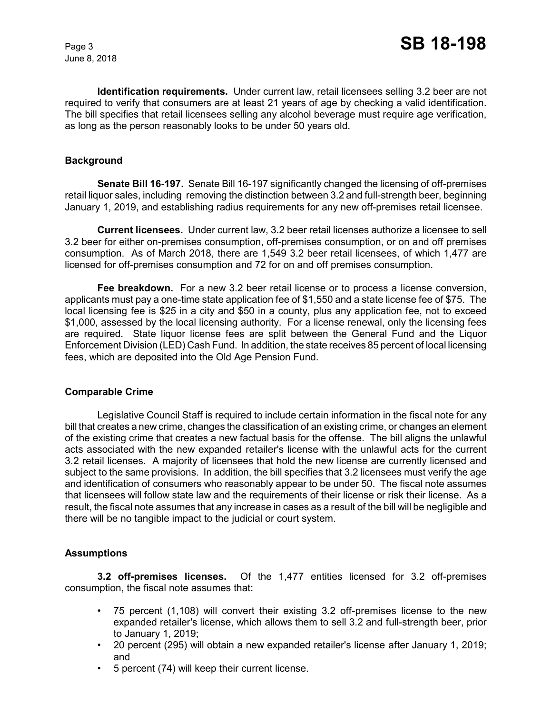**Identification requirements.** Under current law, retail licensees selling 3.2 beer are not required to verify that consumers are at least 21 years of age by checking a valid identification. The bill specifies that retail licensees selling any alcohol beverage must require age verification, as long as the person reasonably looks to be under 50 years old.

## **Background**

**Senate Bill 16-197.** Senate Bill 16-197 significantly changed the licensing of off-premises retail liquor sales, including removing the distinction between 3.2 and full-strength beer, beginning January 1, 2019, and establishing radius requirements for any new off-premises retail licensee.

**Current licensees.** Under current law, 3.2 beer retail licenses authorize a licensee to sell 3.2 beer for either on-premises consumption, off-premises consumption, or on and off premises consumption. As of March 2018, there are 1,549 3.2 beer retail licensees, of which 1,477 are licensed for off-premises consumption and 72 for on and off premises consumption.

**Fee breakdown.** For a new 3.2 beer retail license or to process a license conversion, applicants must pay a one-time state application fee of \$1,550 and a state license fee of \$75. The local licensing fee is \$25 in a city and \$50 in a county, plus any application fee, not to exceed \$1,000, assessed by the local licensing authority. For a license renewal, only the licensing fees are required. State liquor license fees are split between the General Fund and the Liquor Enforcement Division (LED) Cash Fund. In addition, the state receives 85 percent of local licensing fees, which are deposited into the Old Age Pension Fund.

# **Comparable Crime**

Legislative Council Staff is required to include certain information in the fiscal note for any bill that creates a new crime, changes the classification of an existing crime, or changes an element of the existing crime that creates a new factual basis for the offense. The bill aligns the unlawful acts associated with the new expanded retailer's license with the unlawful acts for the current 3.2 retail licenses. A majority of licensees that hold the new license are currently licensed and subject to the same provisions. In addition, the bill specifies that 3.2 licensees must verify the age and identification of consumers who reasonably appear to be under 50. The fiscal note assumes that licensees will follow state law and the requirements of their license or risk their license. As a result, the fiscal note assumes that any increase in cases as a result of the bill will be negligible and there will be no tangible impact to the judicial or court system.

# **Assumptions**

**3.2 off-premises licenses.** Of the 1,477 entities licensed for 3.2 off-premises consumption, the fiscal note assumes that:

- 75 percent (1,108) will convert their existing 3.2 off-premises license to the new expanded retailer's license, which allows them to sell 3.2 and full-strength beer, prior to January 1, 2019;
- 20 percent (295) will obtain a new expanded retailer's license after January 1, 2019; and
- 5 percent (74) will keep their current license.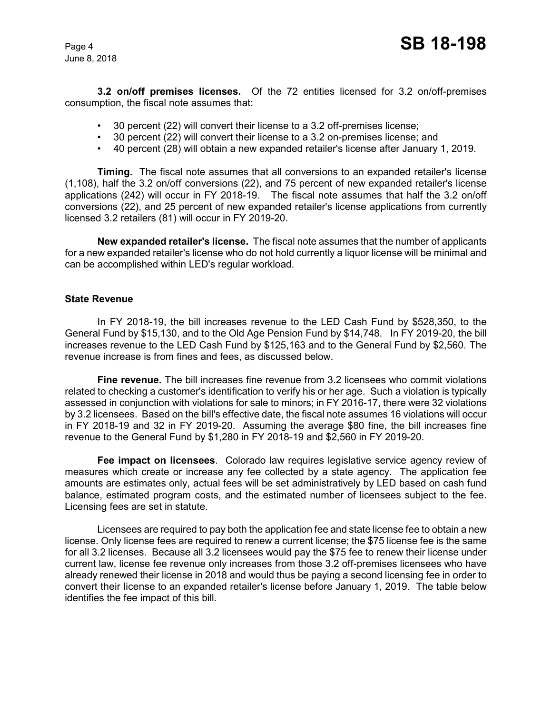**3.2 on/off premises licenses.** Of the 72 entities licensed for 3.2 on/off-premises consumption, the fiscal note assumes that:

- 30 percent (22) will convert their license to a 3.2 off-premises license;
- 30 percent (22) will convert their license to a 3.2 on-premises license; and
- 40 percent (28) will obtain a new expanded retailer's license after January 1, 2019.

**Timing.** The fiscal note assumes that all conversions to an expanded retailer's license (1,108), half the 3.2 on/off conversions (22), and 75 percent of new expanded retailer's license applications (242) will occur in FY 2018-19. The fiscal note assumes that half the 3.2 on/off conversions (22), and 25 percent of new expanded retailer's license applications from currently licensed 3.2 retailers (81) will occur in FY 2019-20.

**New expanded retailer's license.** The fiscal note assumes that the number of applicants for a new expanded retailer's license who do not hold currently a liquor license will be minimal and can be accomplished within LED's regular workload.

### **State Revenue**

In FY 2018-19, the bill increases revenue to the LED Cash Fund by \$528,350, to the General Fund by \$15,130, and to the Old Age Pension Fund by \$14,748. In FY 2019-20, the bill increases revenue to the LED Cash Fund by \$125,163 and to the General Fund by \$2,560. The revenue increase is from fines and fees, as discussed below.

**Fine revenue.** The bill increases fine revenue from 3.2 licensees who commit violations related to checking a customer's identification to verify his or her age. Such a violation is typically assessed in conjunction with violations for sale to minors; in FY 2016-17, there were 32 violations by 3.2 licensees. Based on the bill's effective date, the fiscal note assumes 16 violations will occur in FY 2018-19 and 32 in FY 2019-20. Assuming the average \$80 fine, the bill increases fine revenue to the General Fund by \$1,280 in FY 2018-19 and \$2,560 in FY 2019-20.

**Fee impact on licensees**. Colorado law requires legislative service agency review of measures which create or increase any fee collected by a state agency. The application fee amounts are estimates only, actual fees will be set administratively by LED based on cash fund balance, estimated program costs, and the estimated number of licensees subject to the fee. Licensing fees are set in statute.

Licensees are required to pay both the application fee and state license fee to obtain a new license. Only license fees are required to renew a current license; the \$75 license fee is the same for all 3.2 licenses. Because all 3.2 licensees would pay the \$75 fee to renew their license under current law, license fee revenue only increases from those 3.2 off-premises licensees who have already renewed their license in 2018 and would thus be paying a second licensing fee in order to convert their license to an expanded retailer's license before January 1, 2019. The table below identifies the fee impact of this bill.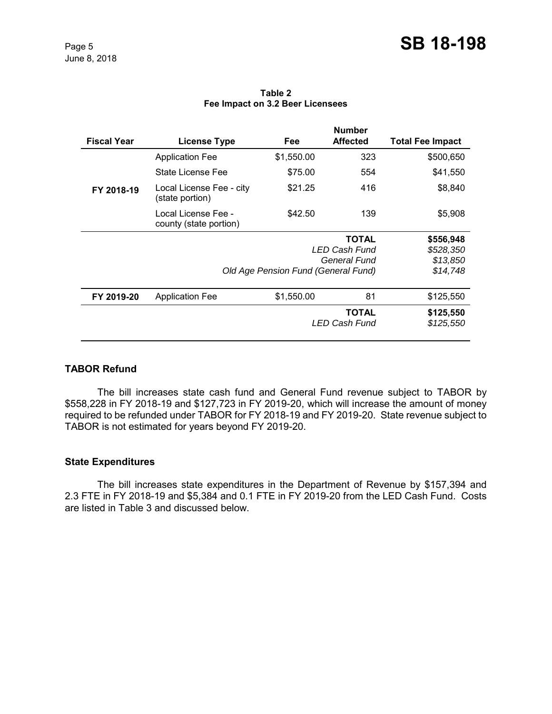| <b>Fiscal Year</b> | License Type                                  | Fee                                 | <b>Number</b><br><b>Affected</b>     | <b>Total Fee Impact</b> |
|--------------------|-----------------------------------------------|-------------------------------------|--------------------------------------|-------------------------|
|                    | <b>Application Fee</b>                        | \$1,550.00                          | 323                                  | \$500,650               |
|                    | State License Fee                             | \$75.00                             | 554                                  | \$41,550                |
| FY 2018-19         | Local License Fee - city<br>(state portion)   | \$21.25                             | 416                                  | \$8,840                 |
|                    | Local License Fee -<br>county (state portion) | \$42.50                             | 139                                  | \$5,908                 |
|                    |                                               |                                     | <b>TOTAL</b>                         | \$556,948               |
|                    |                                               |                                     | LED Cash Fund                        | \$528,350               |
|                    |                                               |                                     | General Fund                         | \$13,850                |
|                    |                                               | Old Age Pension Fund (General Fund) |                                      | \$14,748                |
| FY 2019-20         | <b>Application Fee</b>                        | \$1,550.00                          | 81                                   | \$125,550               |
|                    |                                               |                                     | <b>TOTAL</b><br><b>LED Cash Fund</b> | \$125,550<br>\$125,550  |

### **Table 2 Fee Impact on 3.2 Beer Licensees**

# **TABOR Refund**

The bill increases state cash fund and General Fund revenue subject to TABOR by \$558,228 in FY 2018-19 and \$127,723 in FY 2019-20, which will increase the amount of money required to be refunded under TABOR for FY 2018-19 and FY 2019-20. State revenue subject to TABOR is not estimated for years beyond FY 2019-20.

# **State Expenditures**

The bill increases state expenditures in the Department of Revenue by \$157,394 and 2.3 FTE in FY 2018-19 and \$5,384 and 0.1 FTE in FY 2019-20 from the LED Cash Fund. Costs are listed in Table 3 and discussed below.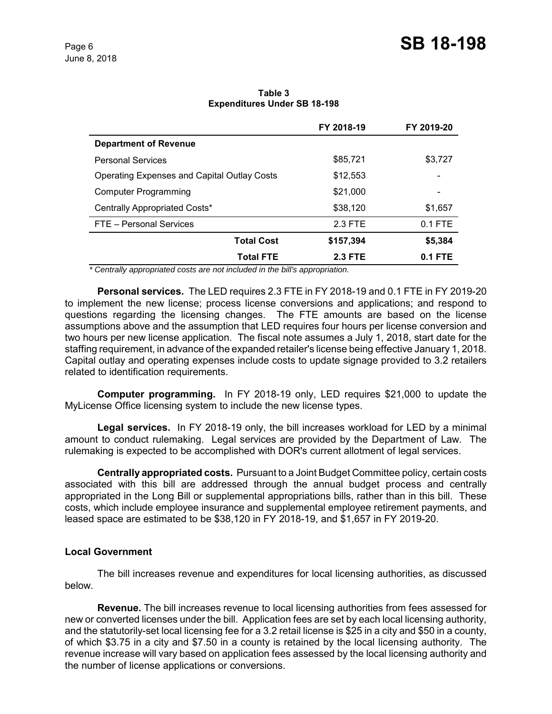| Table 3                             |  |  |
|-------------------------------------|--|--|
| <b>Expenditures Under SB 18-198</b> |  |  |

|                                                    | FY 2018-19     | FY 2019-20 |
|----------------------------------------------------|----------------|------------|
| <b>Department of Revenue</b>                       |                |            |
| <b>Personal Services</b>                           | \$85,721       | \$3,727    |
| <b>Operating Expenses and Capital Outlay Costs</b> | \$12,553       |            |
| <b>Computer Programming</b>                        | \$21,000       |            |
| Centrally Appropriated Costs*                      | \$38,120       | \$1,657    |
| FTE - Personal Services                            | 2.3 FTE        | $0.1$ FTE  |
| <b>Total Cost</b>                                  | \$157,394      | \$5,384    |
| <b>Total FTE</b>                                   | <b>2.3 FTE</b> | $0.1$ FTE  |

 *\* Centrally appropriated costs are not included in the bill's appropriation.*

**Personal services.** The LED requires 2.3 FTE in FY 2018-19 and 0.1 FTE in FY 2019-20 to implement the new license; process license conversions and applications; and respond to questions regarding the licensing changes. The FTE amounts are based on the license assumptions above and the assumption that LED requires four hours per license conversion and two hours per new license application. The fiscal note assumes a July 1, 2018, start date for the staffing requirement, in advance of the expanded retailer's license being effective January 1, 2018. Capital outlay and operating expenses include costs to update signage provided to 3.2 retailers related to identification requirements.

**Computer programming.** In FY 2018-19 only, LED requires \$21,000 to update the MyLicense Office licensing system to include the new license types.

**Legal services.** In FY 2018-19 only, the bill increases workload for LED by a minimal amount to conduct rulemaking. Legal services are provided by the Department of Law. The rulemaking is expected to be accomplished with DOR's current allotment of legal services.

**Centrally appropriated costs.** Pursuant to a Joint Budget Committee policy, certain costs associated with this bill are addressed through the annual budget process and centrally appropriated in the Long Bill or supplemental appropriations bills, rather than in this bill. These costs, which include employee insurance and supplemental employee retirement payments, and leased space are estimated to be \$38,120 in FY 2018-19, and \$1,657 in FY 2019-20.

### **Local Government**

The bill increases revenue and expenditures for local licensing authorities, as discussed below.

**Revenue.** The bill increases revenue to local licensing authorities from fees assessed for new or converted licenses under the bill. Application fees are set by each local licensing authority, and the statutorily-set local licensing fee for a 3.2 retail license is \$25 in a city and \$50 in a county, of which \$3.75 in a city and \$7.50 in a county is retained by the local licensing authority. The revenue increase will vary based on application fees assessed by the local licensing authority and the number of license applications or conversions.